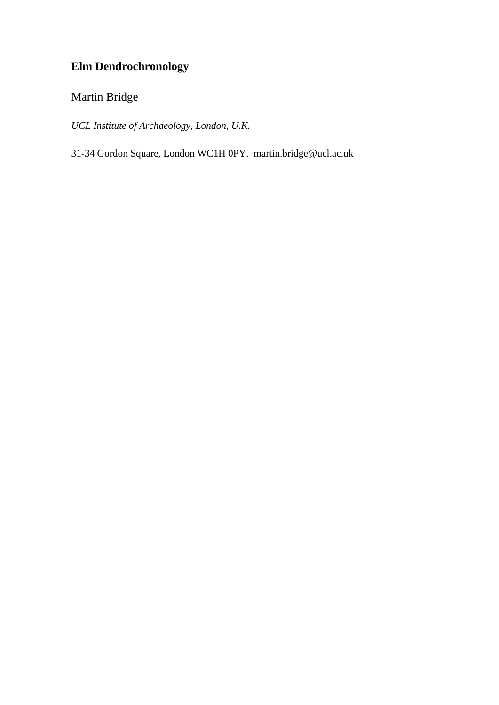# **Elm Dendrochronology**

Martin Bridge

*UCL Institute of Archaeology, London, U.K.*

31-34 Gordon Square, London WC1H 0PY. martin.bridge@ucl.ac.uk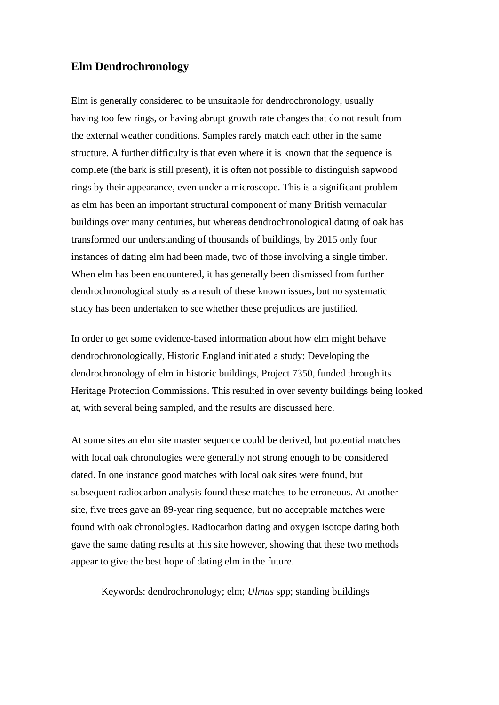## **Elm Dendrochronology**

Elm is generally considered to be unsuitable for dendrochronology, usually having too few rings, or having abrupt growth rate changes that do not result from the external weather conditions. Samples rarely match each other in the same structure. A further difficulty is that even where it is known that the sequence is complete (the bark is still present), it is often not possible to distinguish sapwood rings by their appearance, even under a microscope. This is a significant problem as elm has been an important structural component of many British vernacular buildings over many centuries, but whereas dendrochronological dating of oak has transformed our understanding of thousands of buildings, by 2015 only four instances of dating elm had been made, two of those involving a single timber. When elm has been encountered, it has generally been dismissed from further dendrochronological study as a result of these known issues, but no systematic study has been undertaken to see whether these prejudices are justified.

In order to get some evidence-based information about how elm might behave dendrochronologically, Historic England initiated a study: Developing the dendrochronology of elm in historic buildings, Project 7350, funded through its Heritage Protection Commissions. This resulted in over seventy buildings being looked at, with several being sampled, and the results are discussed here.

At some sites an elm site master sequence could be derived, but potential matches with local oak chronologies were generally not strong enough to be considered dated. In one instance good matches with local oak sites were found, but subsequent radiocarbon analysis found these matches to be erroneous. At another site, five trees gave an 89-year ring sequence, but no acceptable matches were found with oak chronologies. Radiocarbon dating and oxygen isotope dating both gave the same dating results at this site however, showing that these two methods appear to give the best hope of dating elm in the future.

Keywords: dendrochronology; elm; *Ulmus* spp; standing buildings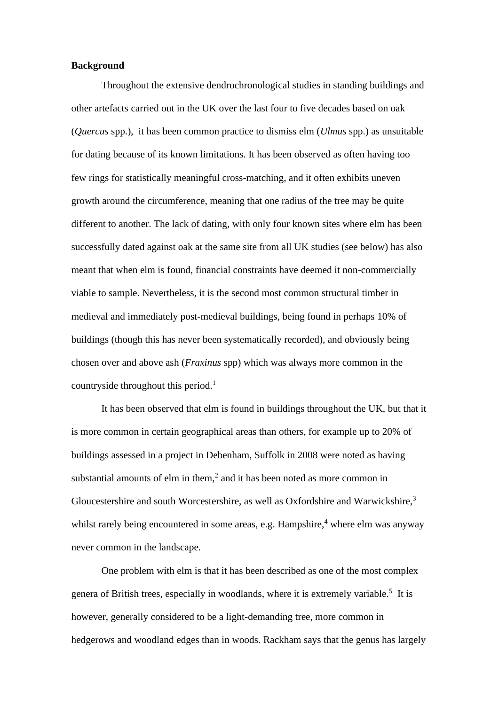#### **Background**

Throughout the extensive dendrochronological studies in standing buildings and other artefacts carried out in the UK over the last four to five decades based on oak (*Quercus* spp.), it has been common practice to dismiss elm (*Ulmus* spp.) as unsuitable for dating because of its known limitations. It has been observed as often having too few rings for statistically meaningful cross-matching, and it often exhibits uneven growth around the circumference, meaning that one radius of the tree may be quite different to another. The lack of dating, with only four known sites where elm has been successfully dated against oak at the same site from all UK studies (see below) has also meant that when elm is found, financial constraints have deemed it non-commercially viable to sample. Nevertheless, it is the second most common structural timber in medieval and immediately post-medieval buildings, being found in perhaps 10% of buildings (though this has never been systematically recorded), and obviously being chosen over and above ash (*Fraxinus* spp) which was always more common in the countryside throughout this period.<sup>1</sup>

It has been observed that elm is found in buildings throughout the UK, but that it is more common in certain geographical areas than others, for example up to 20% of buildings assessed in a project in Debenham, Suffolk in 2008 were noted as having substantial amounts of elm in them, $<sup>2</sup>$  and it has been noted as more common in</sup> Gloucestershire and south Worcestershire, as well as Oxfordshire and Warwickshire,<sup>3</sup> whilst rarely being encountered in some areas, e.g. Hampshire,<sup>4</sup> where elm was anyway never common in the landscape.

One problem with elm is that it has been described as one of the most complex genera of British trees, especially in woodlands, where it is extremely variable.<sup>5</sup> It is however, generally considered to be a light-demanding tree, more common in hedgerows and woodland edges than in woods. Rackham says that the genus has largely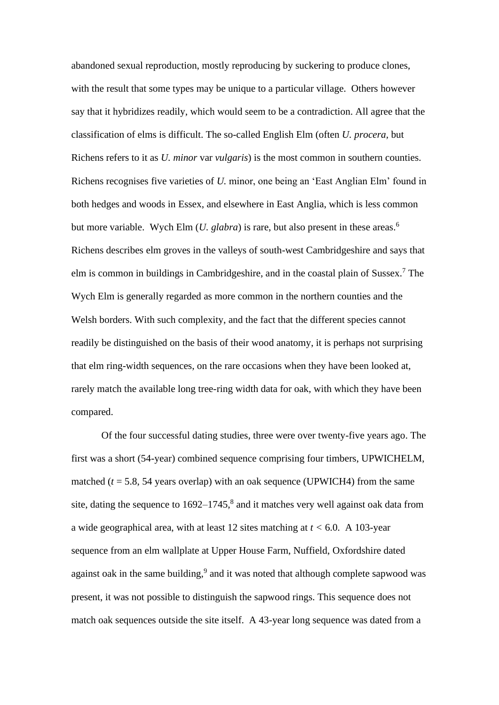abandoned sexual reproduction, mostly reproducing by suckering to produce clones, with the result that some types may be unique to a particular village. Others however say that it hybridizes readily, which would seem to be a contradiction. All agree that the classification of elms is difficult. The so-called English Elm (often *U. procera,* but Richens refers to it as *U. minor* var *vulgaris*) is the most common in southern counties. Richens recognises five varieties of *U.* minor, one being an 'East Anglian Elm' found in both hedges and woods in Essex, and elsewhere in East Anglia, which is less common but more variable. Wych Elm (*U. glabra*) is rare, but also present in these areas.<sup>6</sup> Richens describes elm groves in the valleys of south-west Cambridgeshire and says that elm is common in buildings in Cambridgeshire, and in the coastal plain of Sussex.<sup>7</sup> The Wych Elm is generally regarded as more common in the northern counties and the Welsh borders. With such complexity, and the fact that the different species cannot readily be distinguished on the basis of their wood anatomy, it is perhaps not surprising that elm ring-width sequences, on the rare occasions when they have been looked at, rarely match the available long tree-ring width data for oak, with which they have been compared.

Of the four successful dating studies, three were over twenty-five years ago. The first was a short (54-year) combined sequence comprising four timbers, UPWICHELM, matched  $(t = 5.8, 54$  years overlap) with an oak sequence (UPWICH4) from the same site, dating the sequence to  $1692-1745$ ,<sup>8</sup> and it matches very well against oak data from a wide geographical area, with at least 12 sites matching at  $t < 6.0$ . A 103-year sequence from an elm wallplate at Upper House Farm, Nuffield, Oxfordshire dated against oak in the same building, $9$  and it was noted that although complete sapwood was present, it was not possible to distinguish the sapwood rings. This sequence does not match oak sequences outside the site itself. A 43-year long sequence was dated from a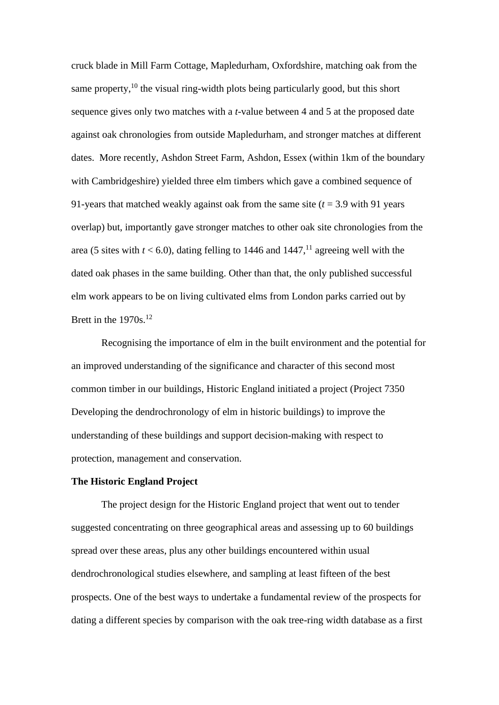cruck blade in Mill Farm Cottage, Mapledurham, Oxfordshire, matching oak from the same property,  $10$  the visual ring-width plots being particularly good, but this short sequence gives only two matches with a *t*-value between 4 and 5 at the proposed date against oak chronologies from outside Mapledurham, and stronger matches at different dates. More recently, Ashdon Street Farm, Ashdon, Essex (within 1km of the boundary with Cambridgeshire) yielded three elm timbers which gave a combined sequence of 91-years that matched weakly against oak from the same site (*t* = 3.9 with 91 years overlap) but, importantly gave stronger matches to other oak site chronologies from the area (5 sites with  $t < 6.0$ ), dating felling to 1446 and 1447,<sup>11</sup> agreeing well with the dated oak phases in the same building. Other than that, the only published successful elm work appears to be on living cultivated elms from London parks carried out by Brett in the  $1970s$ <sup>12</sup>

Recognising the importance of elm in the built environment and the potential for an improved understanding of the significance and character of this second most common timber in our buildings, Historic England initiated a project (Project 7350 Developing the dendrochronology of elm in historic buildings) to improve the understanding of these buildings and support decision-making with respect to protection, management and conservation.

#### **The Historic England Project**

The project design for the Historic England project that went out to tender suggested concentrating on three geographical areas and assessing up to 60 buildings spread over these areas, plus any other buildings encountered within usual dendrochronological studies elsewhere, and sampling at least fifteen of the best prospects. One of the best ways to undertake a fundamental review of the prospects for dating a different species by comparison with the oak tree-ring width database as a first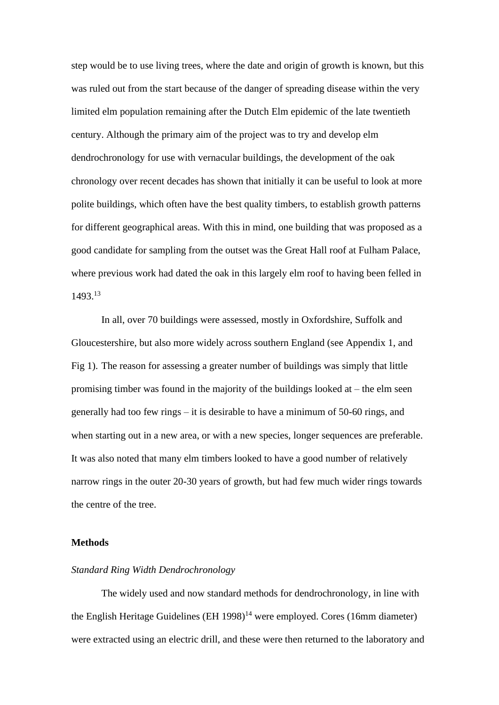step would be to use living trees, where the date and origin of growth is known, but this was ruled out from the start because of the danger of spreading disease within the very limited elm population remaining after the Dutch Elm epidemic of the late twentieth century. Although the primary aim of the project was to try and develop elm dendrochronology for use with vernacular buildings, the development of the oak chronology over recent decades has shown that initially it can be useful to look at more polite buildings, which often have the best quality timbers, to establish growth patterns for different geographical areas. With this in mind, one building that was proposed as a good candidate for sampling from the outset was the Great Hall roof at Fulham Palace, where previous work had dated the oak in this largely elm roof to having been felled in 1493.<sup>13</sup>

In all, over 70 buildings were assessed, mostly in Oxfordshire, Suffolk and Gloucestershire, but also more widely across southern England (see Appendix 1, and Fig 1). The reason for assessing a greater number of buildings was simply that little promising timber was found in the majority of the buildings looked at – the elm seen generally had too few rings – it is desirable to have a minimum of 50-60 rings, and when starting out in a new area, or with a new species, longer sequences are preferable. It was also noted that many elm timbers looked to have a good number of relatively narrow rings in the outer 20-30 years of growth, but had few much wider rings towards the centre of the tree.

#### **Methods**

#### *Standard Ring Width Dendrochronology*

The widely used and now standard methods for dendrochronology, in line with the English Heritage Guidelines (EH 1998)<sup>14</sup> were employed. Cores (16mm diameter) were extracted using an electric drill, and these were then returned to the laboratory and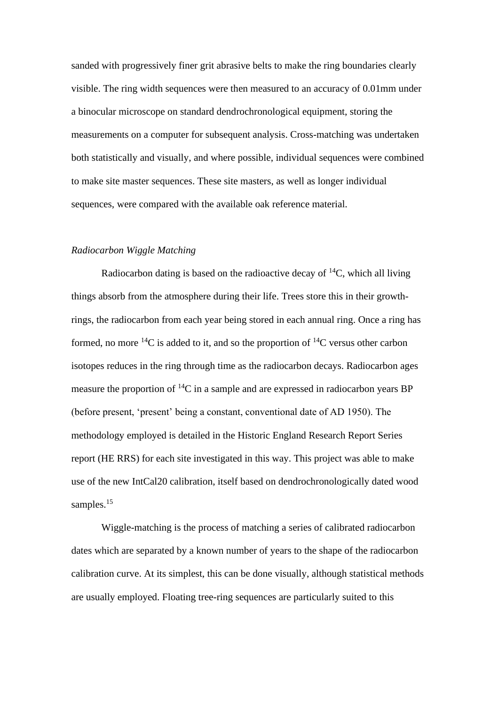sanded with progressively finer grit abrasive belts to make the ring boundaries clearly visible. The ring width sequences were then measured to an accuracy of 0.01mm under a binocular microscope on standard dendrochronological equipment, storing the measurements on a computer for subsequent analysis. Cross-matching was undertaken both statistically and visually, and where possible, individual sequences were combined to make site master sequences. These site masters, as well as longer individual sequences, were compared with the available oak reference material.

#### *Radiocarbon Wiggle Matching*

Radiocarbon dating is based on the radioactive decay of  ${}^{14}C$ , which all living things absorb from the atmosphere during their life. Trees store this in their growthrings, the radiocarbon from each year being stored in each annual ring. Once a ring has formed, no more  ${}^{14}C$  is added to it, and so the proportion of  ${}^{14}C$  versus other carbon isotopes reduces in the ring through time as the radiocarbon decays. Radiocarbon ages measure the proportion of  ${}^{14}C$  in a sample and are expressed in radiocarbon years BP (before present, 'present' being a constant, conventional date of AD 1950). The methodology employed is detailed in the Historic England Research Report Series report (HE RRS) for each site investigated in this way. This project was able to make use of the new IntCal20 calibration, itself based on dendrochronologically dated wood samples.<sup>15</sup>

Wiggle-matching is the process of matching a series of calibrated radiocarbon dates which are separated by a known number of years to the shape of the radiocarbon calibration curve. At its simplest, this can be done visually, although statistical methods are usually employed. Floating tree-ring sequences are particularly suited to this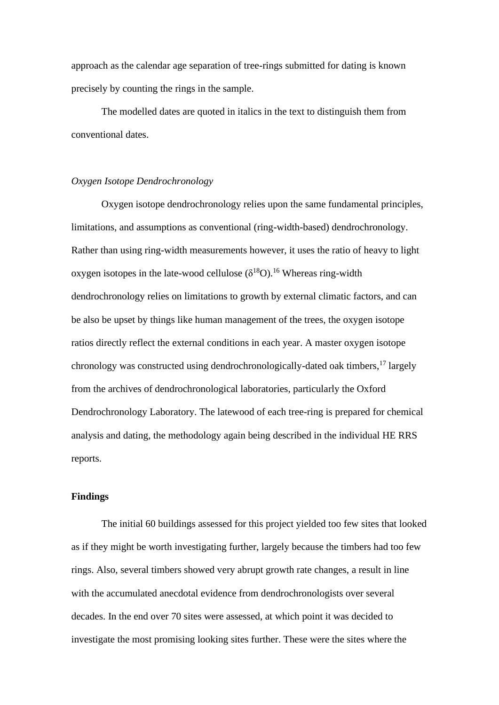approach as the calendar age separation of tree-rings submitted for dating is known precisely by counting the rings in the sample.

The modelled dates are quoted in italics in the text to distinguish them from conventional dates.

#### *Oxygen Isotope Dendrochronology*

Oxygen isotope dendrochronology relies upon the same fundamental principles, limitations, and assumptions as conventional (ring-width-based) dendrochronology. Rather than using ring-width measurements however, it uses the ratio of heavy to light oxygen isotopes in the late-wood cellulose  $(\delta^{18}O)$ .<sup>16</sup> Whereas ring-width dendrochronology relies on limitations to growth by external climatic factors, and can be also be upset by things like human management of the trees, the oxygen isotope ratios directly reflect the external conditions in each year. A master oxygen isotope chronology was constructed using dendrochronologically-dated oak timbers,<sup>17</sup> largely from the archives of dendrochronological laboratories, particularly the Oxford Dendrochronology Laboratory. The latewood of each tree-ring is prepared for chemical analysis and dating, the methodology again being described in the individual HE RRS reports.

#### **Findings**

The initial 60 buildings assessed for this project yielded too few sites that looked as if they might be worth investigating further, largely because the timbers had too few rings. Also, several timbers showed very abrupt growth rate changes, a result in line with the accumulated anecdotal evidence from dendrochronologists over several decades. In the end over 70 sites were assessed, at which point it was decided to investigate the most promising looking sites further. These were the sites where the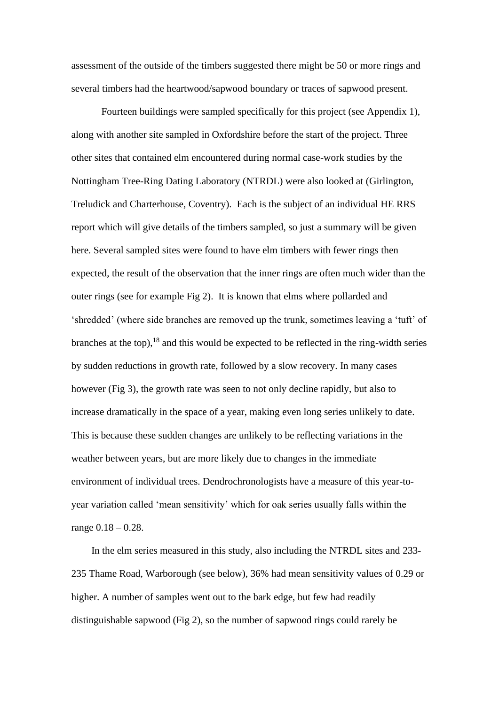assessment of the outside of the timbers suggested there might be 50 or more rings and several timbers had the heartwood/sapwood boundary or traces of sapwood present.

Fourteen buildings were sampled specifically for this project (see Appendix 1), along with another site sampled in Oxfordshire before the start of the project. Three other sites that contained elm encountered during normal case-work studies by the Nottingham Tree-Ring Dating Laboratory (NTRDL) were also looked at (Girlington, Treludick and Charterhouse, Coventry). Each is the subject of an individual HE RRS report which will give details of the timbers sampled, so just a summary will be given here. Several sampled sites were found to have elm timbers with fewer rings then expected, the result of the observation that the inner rings are often much wider than the outer rings (see for example Fig 2). It is known that elms where pollarded and 'shredded' (where side branches are removed up the trunk, sometimes leaving a 'tuft' of branches at the top),  $18$  and this would be expected to be reflected in the ring-width series by sudden reductions in growth rate, followed by a slow recovery. In many cases however (Fig 3), the growth rate was seen to not only decline rapidly, but also to increase dramatically in the space of a year, making even long series unlikely to date. This is because these sudden changes are unlikely to be reflecting variations in the weather between years, but are more likely due to changes in the immediate environment of individual trees. Dendrochronologists have a measure of this year-toyear variation called 'mean sensitivity' which for oak series usually falls within the range 0.18 – 0.28.

 In the elm series measured in this study, also including the NTRDL sites and 233- 235 Thame Road, Warborough (see below), 36% had mean sensitivity values of 0.29 or higher. A number of samples went out to the bark edge, but few had readily distinguishable sapwood (Fig 2), so the number of sapwood rings could rarely be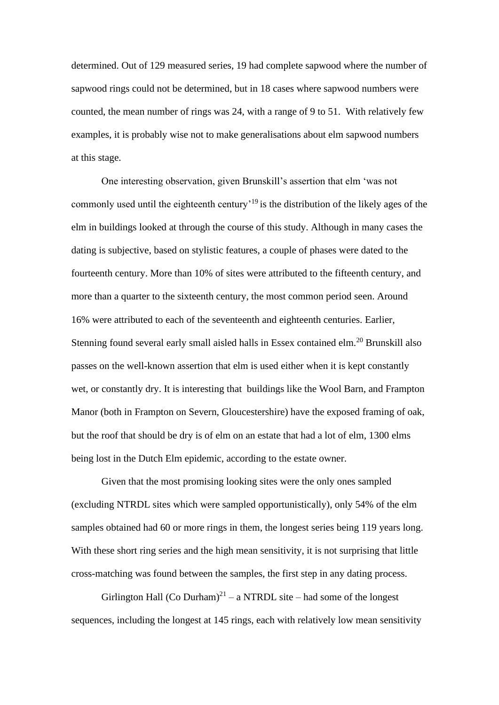determined. Out of 129 measured series, 19 had complete sapwood where the number of sapwood rings could not be determined, but in 18 cases where sapwood numbers were counted, the mean number of rings was 24, with a range of 9 to 51. With relatively few examples, it is probably wise not to make generalisations about elm sapwood numbers at this stage.

One interesting observation, given Brunskill's assertion that elm 'was not commonly used until the eighteenth century<sup>19</sup> is the distribution of the likely ages of the elm in buildings looked at through the course of this study. Although in many cases the dating is subjective, based on stylistic features, a couple of phases were dated to the fourteenth century. More than 10% of sites were attributed to the fifteenth century, and more than a quarter to the sixteenth century, the most common period seen. Around 16% were attributed to each of the seventeenth and eighteenth centuries. Earlier, Stenning found several early small aisled halls in Essex contained elm.<sup>20</sup> Brunskill also passes on the well-known assertion that elm is used either when it is kept constantly wet, or constantly dry. It is interesting that buildings like the Wool Barn, and Frampton Manor (both in Frampton on Severn, Gloucestershire) have the exposed framing of oak, but the roof that should be dry is of elm on an estate that had a lot of elm, 1300 elms being lost in the Dutch Elm epidemic, according to the estate owner.

Given that the most promising looking sites were the only ones sampled (excluding NTRDL sites which were sampled opportunistically), only 54% of the elm samples obtained had 60 or more rings in them, the longest series being 119 years long. With these short ring series and the high mean sensitivity, it is not surprising that little cross-matching was found between the samples, the first step in any dating process.

Girlington Hall  $(Co$  Durham)<sup>21</sup> – a NTRDL site – had some of the longest sequences, including the longest at 145 rings, each with relatively low mean sensitivity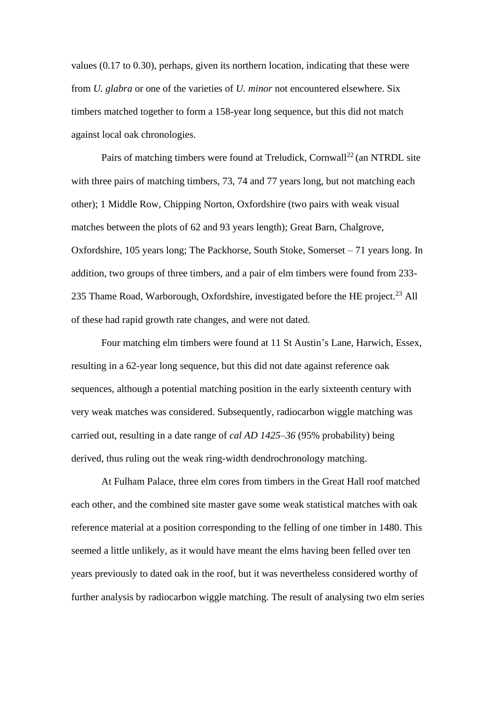values (0.17 to 0.30), perhaps, given its northern location, indicating that these were from *U. glabra* or one of the varieties of *U. minor* not encountered elsewhere. Six timbers matched together to form a 158-year long sequence, but this did not match against local oak chronologies.

Pairs of matching timbers were found at Treludick, Cornwall<sup>22</sup> (an NTRDL site with three pairs of matching timbers, 73, 74 and 77 years long, but not matching each other); 1 Middle Row, Chipping Norton, Oxfordshire (two pairs with weak visual matches between the plots of 62 and 93 years length); Great Barn, Chalgrove, Oxfordshire, 105 years long; The Packhorse, South Stoke, Somerset – 71 years long. In addition, two groups of three timbers, and a pair of elm timbers were found from 233- 235 Thame Road, Warborough, Oxfordshire, investigated before the HE project.<sup>23</sup> All of these had rapid growth rate changes, and were not dated.

Four matching elm timbers were found at 11 St Austin's Lane, Harwich, Essex, resulting in a 62-year long sequence, but this did not date against reference oak sequences, although a potential matching position in the early sixteenth century with very weak matches was considered. Subsequently, radiocarbon wiggle matching was carried out, resulting in a date range of *cal AD 1425–36* (95% probability) being derived, thus ruling out the weak ring-width dendrochronology matching.

At Fulham Palace, three elm cores from timbers in the Great Hall roof matched each other, and the combined site master gave some weak statistical matches with oak reference material at a position corresponding to the felling of one timber in 1480. This seemed a little unlikely, as it would have meant the elms having been felled over ten years previously to dated oak in the roof, but it was nevertheless considered worthy of further analysis by radiocarbon wiggle matching. The result of analysing two elm series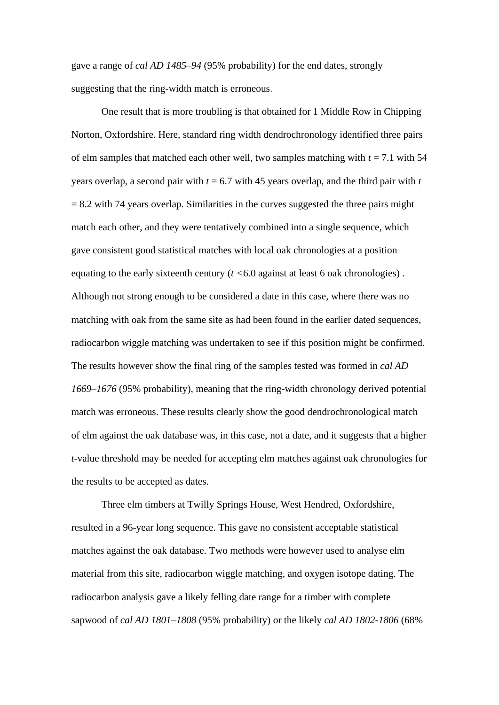gave a range of *cal AD 1485–94* (95% probability) for the end dates, strongly suggesting that the ring-width match is erroneous.

One result that is more troubling is that obtained for 1 Middle Row in Chipping Norton, Oxfordshire. Here, standard ring width dendrochronology identified three pairs of elm samples that matched each other well, two samples matching with  $t = 7.1$  with 54 years overlap, a second pair with *t* = 6.7 with 45 years overlap, and the third pair with *t*   $= 8.2$  with 74 years overlap. Similarities in the curves suggested the three pairs might match each other, and they were tentatively combined into a single sequence, which gave consistent good statistical matches with local oak chronologies at a position equating to the early sixteenth century (*t <*6.0 against at least 6 oak chronologies) . Although not strong enough to be considered a date in this case, where there was no matching with oak from the same site as had been found in the earlier dated sequences, radiocarbon wiggle matching was undertaken to see if this position might be confirmed. The results however show the final ring of the samples tested was formed in *cal AD 1669–1676* (95% probability), meaning that the ring-width chronology derived potential match was erroneous. These results clearly show the good dendrochronological match of elm against the oak database was, in this case, not a date, and it suggests that a higher *t*-value threshold may be needed for accepting elm matches against oak chronologies for the results to be accepted as dates.

Three elm timbers at Twilly Springs House, West Hendred, Oxfordshire, resulted in a 96-year long sequence. This gave no consistent acceptable statistical matches against the oak database. Two methods were however used to analyse elm material from this site, radiocarbon wiggle matching, and oxygen isotope dating. The radiocarbon analysis gave a likely felling date range for a timber with complete sapwood of *cal AD 1801–1808* (95% probability) or the likely *cal AD 1802-1806* (68%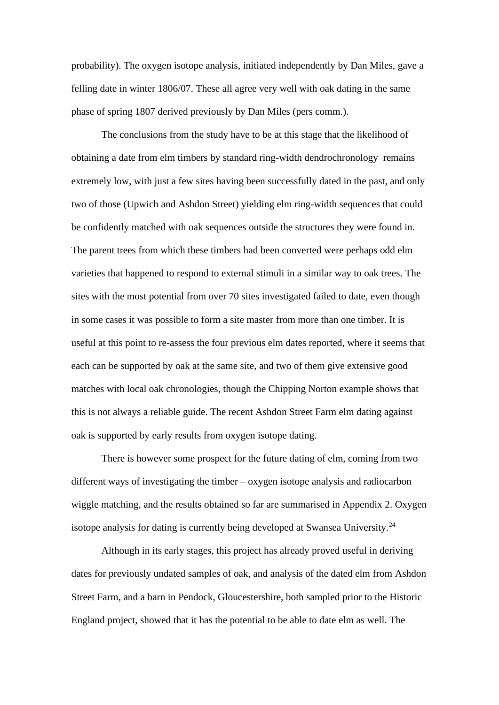probability). The oxygen isotope analysis, initiated independently by Dan Miles, gave a felling date in winter 1806/07. These all agree very well with oak dating in the same phase of spring 1807 derived previously by Dan Miles (pers comm.).

The conclusions from the study have to be at this stage that the likelihood of obtaining a date from elm timbers by standard ring-width dendrochronology remains extremely low, with just a few sites having been successfully dated in the past, and only two of those (Upwich and Ashdon Street) yielding elm ring-width sequences that could be confidently matched with oak sequences outside the structures they were found in. The parent trees from which these timbers had been converted were perhaps odd elm varieties that happened to respond to external stimuli in a similar way to oak trees. The sites with the most potential from over 70 sites investigated failed to date, even though in some cases it was possible to form a site master from more than one timber. It is useful at this point to re-assess the four previous elm dates reported, where it seems that each can be supported by oak at the same site, and two of them give extensive good matches with local oak chronologies, though the Chipping Norton example shows that this is not always a reliable guide. The recent Ashdon Street Farm elm dating against oak is supported by early results from oxygen isotope dating.

There is however some prospect for the future dating of elm, coming from two different ways of investigating the timber – oxygen isotope analysis and radiocarbon wiggle matching, and the results obtained so far are summarised in Appendix 2. Oxygen isotope analysis for dating is currently being developed at Swansea University.<sup>24</sup>

Although in its early stages, this project has already proved useful in deriving dates for previously undated samples of oak, and analysis of the dated elm from Ashdon Street Farm, and a barn in Pendock, Gloucestershire, both sampled prior to the Historic England project, showed that it has the potential to be able to date elm as well. The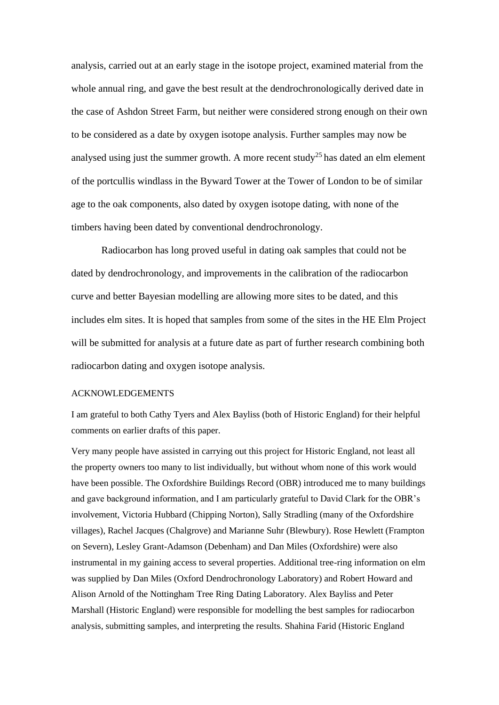analysis, carried out at an early stage in the isotope project, examined material from the whole annual ring, and gave the best result at the dendrochronologically derived date in the case of Ashdon Street Farm, but neither were considered strong enough on their own to be considered as a date by oxygen isotope analysis. Further samples may now be analysed using just the summer growth. A more recent study<sup>25</sup> has dated an elm element of the portcullis windlass in the Byward Tower at the Tower of London to be of similar age to the oak components, also dated by oxygen isotope dating, with none of the timbers having been dated by conventional dendrochronology.

Radiocarbon has long proved useful in dating oak samples that could not be dated by dendrochronology, and improvements in the calibration of the radiocarbon curve and better Bayesian modelling are allowing more sites to be dated, and this includes elm sites. It is hoped that samples from some of the sites in the HE Elm Project will be submitted for analysis at a future date as part of further research combining both radiocarbon dating and oxygen isotope analysis.

#### ACKNOWLEDGEMENTS

I am grateful to both Cathy Tyers and Alex Bayliss (both of Historic England) for their helpful comments on earlier drafts of this paper.

Very many people have assisted in carrying out this project for Historic England, not least all the property owners too many to list individually, but without whom none of this work would have been possible. The Oxfordshire Buildings Record (OBR) introduced me to many buildings and gave background information, and I am particularly grateful to David Clark for the OBR's involvement, Victoria Hubbard (Chipping Norton), Sally Stradling (many of the Oxfordshire villages), Rachel Jacques (Chalgrove) and Marianne Suhr (Blewbury). Rose Hewlett (Frampton on Severn), Lesley Grant-Adamson (Debenham) and Dan Miles (Oxfordshire) were also instrumental in my gaining access to several properties. Additional tree-ring information on elm was supplied by Dan Miles (Oxford Dendrochronology Laboratory) and Robert Howard and Alison Arnold of the Nottingham Tree Ring Dating Laboratory. Alex Bayliss and Peter Marshall (Historic England) were responsible for modelling the best samples for radiocarbon analysis, submitting samples, and interpreting the results. Shahina Farid (Historic England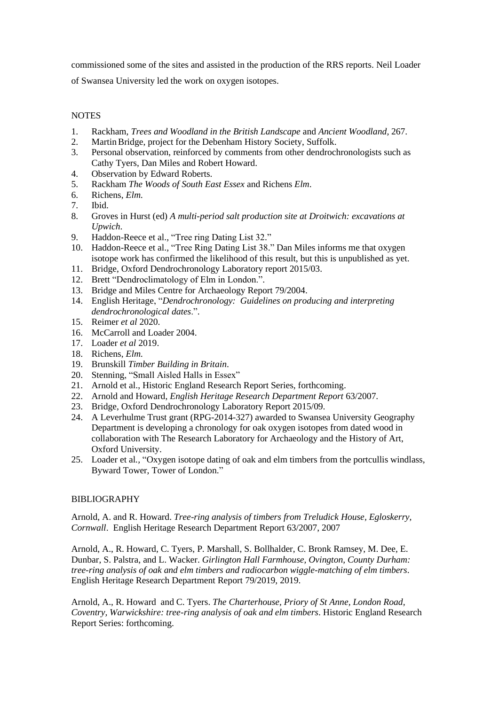commissioned some of the sites and assisted in the production of the RRS reports. Neil Loader

of Swansea University led the work on oxygen isotopes.

#### **NOTES**

- 1. Rackham, *Trees and Woodland in the British Landscape* and *Ancient Woodland,* 267.
- Martin Bridge, project for the Debenham History Society, Suffolk.
- 3. Personal observation, reinforced by comments from other dendrochronologists such as Cathy Tyers, Dan Miles and Robert Howard.
- 4. Observation by Edward Roberts.
- 5. Rackham *The Woods of South East Essex* and Richens *Elm*.
- 6. Richens, *Elm.*
- 7. Ibid.
- 8. Groves in Hurst (ed) *A multi-period salt production site at Droitwich: excavations at Upwich*.
- 9. Haddon-Reece et al.*,* "Tree ring Dating List 32."
- 10. Haddon-Reece et al.*,* "Tree Ring Dating List 38." Dan Miles informs me that oxygen isotope work has confirmed the likelihood of this result, but this is unpublished as yet.
- 11. Bridge, Oxford Dendrochronology Laboratory report 2015/03.
- 12. Brett "Dendroclimatology of Elm in London.".
- 13. Bridge and Miles Centre for Archaeology Report 79/2004.
- 14. English Heritage, "*Dendrochronology: Guidelines on producing and interpreting dendrochronological dates*.".
- 15. Reimer *et al* 2020.
- 16. McCarroll and Loader 2004.
- 17. Loader *et al* 2019.
- 18. Richens, *Elm.*
- 19. Brunskill *Timber Building in Britain*.
- 20. Stenning, "Small Aisled Halls in Essex"
- 21. Arnold et al., Historic England Research Report Series, forthcoming.
- 22. Arnold and Howard, *English Heritage Research Department Report* 63/2007.
- 23. Bridge, Oxford Dendrochronology Laboratory Report 2015/09.
- 24. A Leverhulme Trust grant (RPG-2014-327) awarded to Swansea University Geography Department is developing a chronology for oak oxygen isotopes from dated wood in collaboration with The Research Laboratory for Archaeology and the History of Art, Oxford University.
- 25. Loader et al*.,* "Oxygen isotope dating of oak and elm timbers from the portcullis windlass, Byward Tower, Tower of London."

#### BIBLIOGRAPHY

Arnold, A. and R. Howard. *Tree-ring analysis of timbers from Treludick House, Egloskerry, Cornwall*. English Heritage Research Department Report 63/2007, 2007

Arnold, A., R. Howard, C. Tyers, P. Marshall, S. Bollhalder, C. Bronk Ramsey, M. Dee, E. Dunbar, S. Palstra, and L. Wacker. *Girlington Hall Farmhouse, Ovington, County Durham: tree-ring analysis of oak and elm timbers and radiocarbon wiggle-matching of elm timbers*. English Heritage Research Department Report 79/2019, 2019.

Arnold, A., R. Howard and C. Tyers. *The Charterhouse, Priory of St Anne, London Road, Coventry, Warwickshire: tree-ring analysis of oak and elm timbers*. Historic England Research Report Series: forthcoming.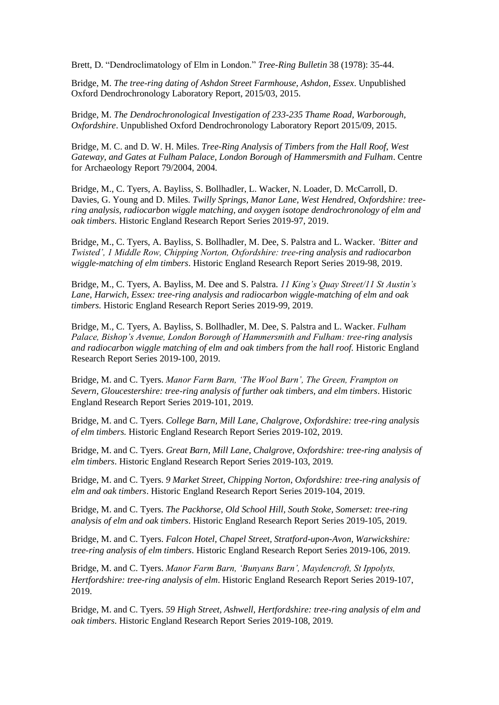Brett, D. "Dendroclimatology of Elm in London." *Tree-Ring Bulletin* 38 (1978): 35-44.

Bridge, M. *The tree-ring dating of Ashdon Street Farmhouse, Ashdon, Essex*. Unpublished Oxford Dendrochronology Laboratory Report, 2015/03, 2015.

Bridge, M. *The Dendrochronological Investigation of 233-235 Thame Road, Warborough, Oxfordshire*. Unpublished Oxford Dendrochronology Laboratory Report 2015/09, 2015.

Bridge, M. C. and D. W. H. Miles. *Tree-Ring Analysis of Timbers from the Hall Roof, West Gateway, and Gates at Fulham Palace, London Borough of Hammersmith and Fulham*. Centre for Archaeology Report 79/2004, 2004.

Bridge, M., C. Tyers, A. Bayliss, S. Bollhadler, L. Wacker, N. Loader, D. McCarroll, D. Davies, G. Young and D. Miles*. Twilly Springs, Manor Lane, West Hendred, Oxfordshire: treering analysis, radiocarbon wiggle matching, and oxygen isotope dendrochronology of elm and oak timbers*. Historic England Research Report Series 2019-97, 2019.

Bridge, M., C. Tyers, A. Bayliss, S. Bollhadler, M. Dee, S. Palstra and L. Wacker. *'Bitter and Twisted', 1 Middle Row, Chipping Norton, Oxfordshire: tree-ring analysis and radiocarbon wiggle-matching of elm timbers*. Historic England Research Report Series 2019-98, 2019.

Bridge, M., C. Tyers, A. Bayliss, M. Dee and S. Palstra. *11 King's Quay Street/11 St Austin's Lane, Harwich, Essex: tree-ring analysis and radiocarbon wiggle-matching of elm and oak timbers.* Historic England Research Report Series 2019-99, 2019.

Bridge, M., C. Tyers, A. Bayliss, S. Bollhadler, M. Dee, S. Palstra and L. Wacker. *Fulham Palace, Bishop's Avenue, London Borough of Hammersmith and Fulham: tree-ring analysis and radiocarbon wiggle matching of elm and oak timbers from the hall roof.* Historic England Research Report Series 2019-100, 2019.

Bridge, M. and C. Tyers. *Manor Farm Barn, 'The Wool Barn', The Green, Frampton on Severn, Gloucestershire: tree-ring analysis of further oak timbers, and elm timbers*. Historic England Research Report Series 2019-101, 2019.

Bridge, M. and C. Tyers. *College Barn, Mill Lane, Chalgrove, Oxfordshire: tree-ring analysis of elm timbers.* Historic England Research Report Series 2019-102, 2019.

Bridge, M. and C. Tyers. *Great Barn, Mill Lane, Chalgrove, Oxfordshire: tree-ring analysis of elm timbers*. Historic England Research Report Series 2019-103, 2019.

Bridge, M. and C. Tyers. *9 Market Street, Chipping Norton, Oxfordshire: tree-ring analysis of elm and oak timbers*. Historic England Research Report Series 2019-104, 2019.

Bridge, M. and C. Tyers. *The Packhorse, Old School Hill, South Stoke, Somerset: tree-ring analysis of elm and oak timbers*. Historic England Research Report Series 2019-105, 2019.

Bridge, M. and C. Tyers. *Falcon Hotel, Chapel Street, Stratford-upon-Avon, Warwickshire: tree-ring analysis of elm timbers*. Historic England Research Report Series 2019-106, 2019.

Bridge, M. and C. Tyers. *Manor Farm Barn, 'Bunyans Barn', Maydencroft, St Ippolyts, Hertfordshire: tree-ring analysis of elm*. Historic England Research Report Series 2019-107, 2019.

Bridge, M. and C. Tyers. *59 High Street, Ashwell, Hertfordshire: tree-ring analysis of elm and oak timbers*. Historic England Research Report Series 2019-108, 2019.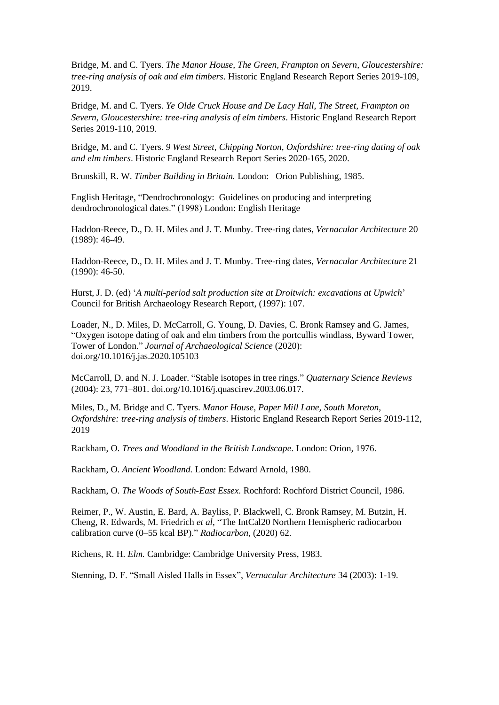Bridge, M. and C. Tyers. *The Manor House, The Green, Frampton on Severn, Gloucestershire: tree-ring analysis of oak and elm timbers*. Historic England Research Report Series 2019-109, 2019.

Bridge, M. and C. Tyers. *Ye Olde Cruck House and De Lacy Hall, The Street, Frampton on Severn, Gloucestershire: tree-ring analysis of elm timbers*. Historic England Research Report Series 2019-110, 2019.

Bridge, M. and C. Tyers. *9 West Street, Chipping Norton, Oxfordshire: tree-ring dating of oak and elm timbers*. Historic England Research Report Series 2020-165, 2020.

Brunskill, R. W. *Timber Building in Britain.* London: Orion Publishing, 1985.

English Heritage, "Dendrochronology: Guidelines on producing and interpreting dendrochronological dates." (1998) London: English Heritage

Haddon-Reece, D., D. H. Miles and J. T. Munby. Tree-ring dates, *Vernacular Architecture* 20 (1989): 46-49.

Haddon-Reece, D., D. H. Miles and J. T. Munby. Tree-ring dates, *Vernacular Architecture* 21 (1990): 46-50.

Hurst, J. D. (ed) '*A multi-period salt production site at Droitwich: excavations at Upwich*' Council for British Archaeology Research Report, (1997): 107.

Loader, N., D. Miles, D. McCarroll, G. Young, D. Davies, C. Bronk Ramsey and G. James, "Oxygen isotope dating of oak and elm timbers from the portcullis windlass, Byward Tower, Tower of London." *Journal of Archaeological Science* (2020): doi.org/10.1016/j.jas.2020.105103

McCarroll, D. and N. J. Loader. "Stable isotopes in tree rings." *Quaternary Science Reviews* (2004): 23, 771–801. doi.org/10.1016/j.quascirev.2003.06.017.

Miles, D., M. Bridge and C. Tyers. *Manor House, Paper Mill Lane, South Moreton, Oxfordshire: tree-ring analysis of timbers*. Historic England Research Report Series 2019-112, 2019

Rackham, O. *Trees and Woodland in the British Landscape.* London: Orion*,* 1976.

Rackham, O. *Ancient Woodland.* London: Edward Arnold, 1980.

Rackham, O. *The Woods of South-East Essex.* Rochford: Rochford District Council, 1986.

Reimer, P., W. Austin, E. Bard, A. Bayliss, P. Blackwell, C. Bronk Ramsey, M. Butzin, H. Cheng, R. Edwards, M. Friedrich *et al*, "The IntCal20 Northern Hemispheric radiocarbon calibration curve (0–55 kcal BP)." *Radiocarbon*, (2020) 62.

Richens, R. H. *Elm.* Cambridge: Cambridge University Press, 1983.

Stenning, D. F. "Small Aisled Halls in Essex", *Vernacular Architecture* 34 (2003): 1-19.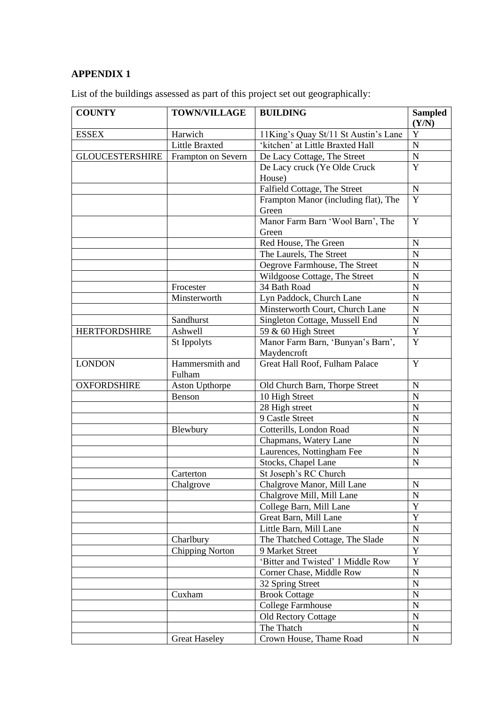## **APPENDIX 1**

List of the buildings assessed as part of this project set out geographically:

| <b>COUNTY</b>          | <b>TOWN/VILLAGE</b>       | <b>BUILDING</b>                               | <b>Sampled</b><br>(Y/N) |  |
|------------------------|---------------------------|-----------------------------------------------|-------------------------|--|
| <b>ESSEX</b>           | Harwich                   | 11King's Quay St/11 St Austin's Lane          | $\mathbf Y$             |  |
| <b>Little Braxted</b>  |                           | 'kitchen' at Little Braxted Hall              | $\mathbf N$             |  |
| <b>GLOUCESTERSHIRE</b> | Frampton on Severn        | De Lacy Cottage, The Street                   | ${\bf N}$               |  |
|                        |                           | De Lacy cruck (Ye Olde Cruck                  | Y                       |  |
|                        |                           | House)                                        |                         |  |
|                        |                           | Falfield Cottage, The Street                  | ${\bf N}$<br>Y          |  |
|                        |                           | Frampton Manor (including flat), The<br>Green |                         |  |
|                        |                           | Manor Farm Barn 'Wool Barn', The<br>Green     | Y                       |  |
|                        |                           | Red House, The Green                          | $\mathbf N$             |  |
|                        |                           | The Laurels, The Street                       | ${\bf N}$               |  |
|                        |                           | Oegrove Farmhouse, The Street                 | $\mathbf N$             |  |
|                        |                           | Wildgoose Cottage, The Street                 | $\mathbf N$             |  |
|                        | Frocester                 | 34 Bath Road                                  | ${\bf N}$               |  |
|                        | Minsterworth              | Lyn Paddock, Church Lane                      | ${\bf N}$               |  |
|                        |                           | Minsterworth Court, Church Lane               | $\overline{N}$          |  |
|                        | Sandhurst                 | Singleton Cottage, Mussell End                | ${\bf N}$               |  |
| <b>HERTFORDSHIRE</b>   | Ashwell                   | 59 & 60 High Street                           | $\mathbf Y$             |  |
|                        | St Ippolyts               | Manor Farm Barn, 'Bunyan's Barn',             | $\overline{Y}$          |  |
|                        |                           | Maydencroft                                   |                         |  |
| <b>LONDON</b>          | Hammersmith and<br>Fulham | Great Hall Roof, Fulham Palace                | Y                       |  |
| <b>OXFORDSHIRE</b>     | Aston Upthorpe            | Old Church Barn, Thorpe Street                | $\mathbf N$             |  |
|                        | Benson                    | 10 High Street                                | $\mathbf N$             |  |
|                        |                           | 28 High street                                | ${\bf N}$               |  |
|                        |                           | 9 Castle Street                               | ${\bf N}$               |  |
|                        | Blewbury                  | Cotterills, London Road                       | $\mathbf N$             |  |
|                        |                           | Chapmans, Watery Lane                         | $\overline{N}$          |  |
|                        |                           | Laurences, Nottingham Fee                     | ${\bf N}$               |  |
|                        |                           | Stocks, Chapel Lane                           | ${\bf N}$               |  |
|                        | Carterton                 | St Joseph's RC Church                         |                         |  |
|                        | Chalgrove                 | Chalgrove Manor, Mill Lane                    | $\mathbf N$             |  |
|                        |                           | Chalgrove Mill, Mill Lane                     | $\mathbf N$             |  |
|                        |                           | College Barn, Mill Lane                       | Y                       |  |
|                        |                           | Great Barn, Mill Lane                         | Y                       |  |
|                        |                           | Little Barn, Mill Lane                        | ${\bf N}$               |  |
|                        | Charlbury                 | The Thatched Cottage, The Slade               | $\mathbf N$             |  |
|                        | <b>Chipping Norton</b>    | 9 Market Street                               | Y                       |  |
|                        |                           | 'Bitter and Twisted' 1 Middle Row             | Y                       |  |
|                        |                           | Corner Chase, Middle Row                      | ${\bf N}$               |  |
|                        |                           | 32 Spring Street                              | ${\bf N}$               |  |
|                        | Cuxham                    | <b>Brook Cottage</b>                          | ${\bf N}$               |  |
|                        |                           | College Farmhouse                             | ${\bf N}$               |  |
|                        |                           | <b>Old Rectory Cottage</b>                    | ${\bf N}$               |  |
|                        |                           | The Thatch                                    | ${\bf N}$               |  |
|                        | <b>Great Haseley</b>      | Crown House, Thame Road                       | ${\bf N}$               |  |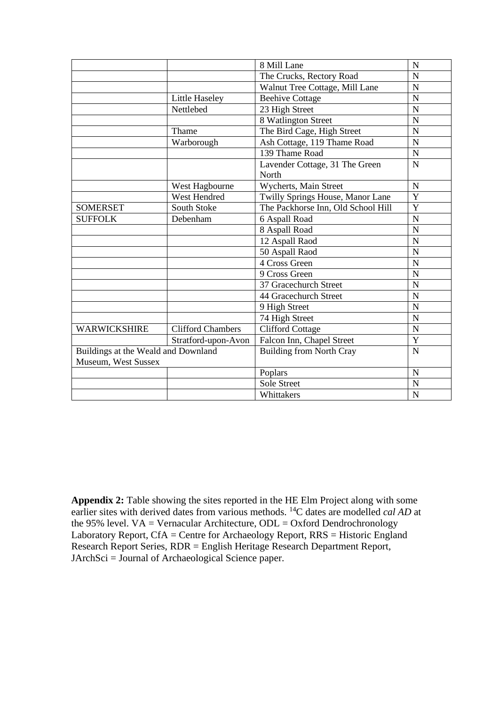|                                     |                                           | 8 Mill Lane                        | N              |
|-------------------------------------|-------------------------------------------|------------------------------------|----------------|
|                                     |                                           | The Crucks, Rectory Road           | N              |
|                                     |                                           | Walnut Tree Cottage, Mill Lane     | N              |
|                                     | <b>Little Haseley</b>                     | <b>Beehive Cottage</b>             | N              |
|                                     | Nettlebed                                 | 23 High Street                     | N              |
|                                     |                                           | 8 Watlington Street                | N              |
|                                     | Thame                                     | The Bird Cage, High Street         | N              |
|                                     | Ash Cottage, 119 Thame Road<br>Warborough |                                    | N              |
|                                     |                                           | 139 Thame Road                     | $\mathbf N$    |
|                                     |                                           | Lavender Cottage, 31 The Green     | $\overline{N}$ |
|                                     |                                           | North                              |                |
|                                     | West Hagbourne                            | Wycherts, Main Street              | $\mathbf N$    |
|                                     | <b>West Hendred</b>                       | Twilly Springs House, Manor Lane   | $\overline{Y}$ |
| <b>SOMERSET</b>                     | South Stoke                               | The Packhorse Inn, Old School Hill | Y              |
| <b>SUFFOLK</b>                      | Debenham                                  | 6 Aspall Road                      | $\mathbf N$    |
|                                     |                                           | 8 Aspall Road                      | N              |
|                                     |                                           | 12 Aspall Raod                     | N              |
|                                     |                                           | 50 Aspall Raod                     | N              |
|                                     |                                           | 4 Cross Green                      | N              |
|                                     |                                           | 9 Cross Green                      | N              |
|                                     |                                           | 37 Gracechurch Street              | N              |
|                                     |                                           | 44 Gracechurch Street              | N              |
|                                     |                                           | 9 High Street                      | $\mathbf N$    |
|                                     |                                           | 74 High Street                     | N              |
| <b>WARWICKSHIRE</b>                 | <b>Clifford Chambers</b>                  | <b>Clifford Cottage</b>            | $\mathbf N$    |
|                                     | Stratford-upon-Avon                       | Falcon Inn, Chapel Street          | Y              |
| Buildings at the Weald and Downland |                                           | <b>Building from North Cray</b>    | N              |
| Museum, West Sussex                 |                                           |                                    |                |
|                                     |                                           | Poplars                            | $\mathbf N$    |
|                                     |                                           | <b>Sole Street</b>                 | N              |
|                                     |                                           | Whittakers                         | N              |

**Appendix 2:** Table showing the sites reported in the HE Elm Project along with some earlier sites with derived dates from various methods. <sup>14</sup>C dates are modelled *cal AD* at the 95% level.  $VA = Vernacular Architecture, ODL = Oxford Dendrochronology$ Laboratory Report, CfA = Centre for Archaeology Report, RRS = Historic England Research Report Series, RDR = English Heritage Research Department Report, JArchSci = Journal of Archaeological Science paper.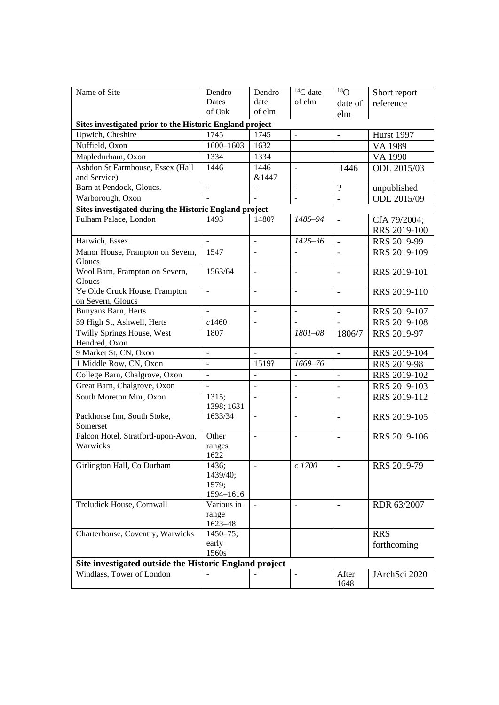| Name of Site                                             | Dendro                   | Dendro                       | $14C$ date               | $\overline{^{18}$ O      | Short report      |  |  |  |
|----------------------------------------------------------|--------------------------|------------------------------|--------------------------|--------------------------|-------------------|--|--|--|
|                                                          | Dates                    | date                         | of elm                   | date of                  | reference         |  |  |  |
|                                                          | of Oak                   | of elm                       |                          | elm                      |                   |  |  |  |
| Sites investigated prior to the Historic England project |                          |                              |                          |                          |                   |  |  |  |
| Upwich, Cheshire                                         | 1745                     | 1745                         | $\overline{\phantom{a}}$ | $\overline{\phantom{a}}$ | <b>Hurst 1997</b> |  |  |  |
| Nuffield, Oxon                                           | $1600 - 1603$            | 1632                         |                          |                          | VA 1989           |  |  |  |
| Mapledurham, Oxon                                        | 1334                     | 1334                         |                          |                          | VA 1990           |  |  |  |
| Ashdon St Farmhouse, Essex (Hall                         | 1446                     | 1446                         | $\overline{\phantom{a}}$ | 1446                     | ODL 2015/03       |  |  |  |
| and Service)                                             |                          | &1447                        |                          |                          |                   |  |  |  |
| Barn at Pendock, Gloucs.                                 | $\blacksquare$           | $\blacksquare$               | $\blacksquare$           | $\overline{\mathcal{L}}$ | unpublished       |  |  |  |
| Warborough, Oxon                                         |                          | $\overline{a}$               | $\overline{a}$           |                          | ODL 2015/09       |  |  |  |
| Sites investigated during the Historic England project   |                          |                              |                          |                          |                   |  |  |  |
| Fulham Palace, London                                    | 1493                     | 1480?                        | 1485-94                  |                          | CfA 79/2004;      |  |  |  |
|                                                          |                          |                              |                          |                          | RRS 2019-100      |  |  |  |
| Harwich, Essex                                           | $\overline{a}$           |                              | $1425 - 36$              |                          |                   |  |  |  |
|                                                          | 1547                     | ÷,                           |                          |                          | RRS 2019-99       |  |  |  |
| Manor House, Frampton on Severn,<br>Gloucs               |                          | $\overline{a}$               |                          | $\blacksquare$           | RRS 2019-109      |  |  |  |
| Wool Barn, Frampton on Severn,                           | 1563/64                  | $\overline{a}$               | $\overline{\phantom{a}}$ | $\overline{\phantom{a}}$ | RRS 2019-101      |  |  |  |
| Gloucs                                                   |                          |                              |                          |                          |                   |  |  |  |
| Ye Olde Cruck House, Frampton                            | $\overline{a}$           | $\overline{a}$               | $\frac{1}{2}$            | $\overline{\phantom{a}}$ | RRS 2019-110      |  |  |  |
| on Severn, Gloucs                                        |                          |                              |                          |                          |                   |  |  |  |
| Bunyans Barn, Herts                                      | $\overline{\phantom{a}}$ | ÷,                           | $\overline{a}$           | $\bar{\phantom{a}}$      | RRS 2019-107      |  |  |  |
| 59 High St, Ashwell, Herts                               | c1460                    | $\qquad \qquad \blacksquare$ | $\blacksquare$           |                          | RRS 2019-108      |  |  |  |
| <b>Twilly Springs House, West</b>                        | 1807                     |                              | 1801-08                  | 1806/7                   | RRS 2019-97       |  |  |  |
| Hendred, Oxon                                            |                          |                              |                          |                          |                   |  |  |  |
| 9 Market St, CN, Oxon                                    | $\blacksquare$           | $\overline{a}$               | $\Box$                   | $\overline{\phantom{a}}$ | RRS 2019-104      |  |  |  |
| 1 Middle Row, CN, Oxon                                   | $\equiv$                 | 1519?                        | 1669-76                  |                          | RRS 2019-98       |  |  |  |
| College Barn, Chalgrove, Oxon                            |                          | $\blacksquare$               | $\overline{\phantom{a}}$ | $\bar{\phantom{a}}$      | RRS 2019-102      |  |  |  |
| Great Barn, Chalgrove, Oxon                              | $\overline{\phantom{a}}$ | L.                           | $\blacksquare$           | $\overline{\phantom{a}}$ | RRS 2019-103      |  |  |  |
| South Moreton Mnr, Oxon                                  | 1315;                    | $\overline{a}$               | $\overline{\phantom{a}}$ | $\overline{\phantom{a}}$ | RRS 2019-112      |  |  |  |
|                                                          | 1398; 1631               |                              |                          |                          |                   |  |  |  |
| Packhorse Inn, South Stoke,                              | 1633/34                  | $\bar{\phantom{a}}$          | $\frac{1}{2}$            | $\overline{\phantom{a}}$ | RRS 2019-105      |  |  |  |
| Somerset                                                 |                          |                              |                          |                          |                   |  |  |  |
| Falcon Hotel, Stratford-upon-Avon,                       | Other                    | $\overline{\phantom{a}}$     | $\overline{\phantom{a}}$ |                          | RRS 2019-106      |  |  |  |
| Warwicks                                                 | ranges                   |                              |                          |                          |                   |  |  |  |
|                                                          | 1622                     |                              |                          |                          |                   |  |  |  |
| Girlington Hall, Co Durham                               | 1436;                    |                              | c 1700                   |                          | RRS 2019-79       |  |  |  |
|                                                          | 1439/40;                 |                              |                          |                          |                   |  |  |  |
|                                                          | 1579;                    |                              |                          |                          |                   |  |  |  |
|                                                          | 1594-1616                |                              |                          |                          |                   |  |  |  |
| Treludick House, Cornwall                                | Various in               | $\blacksquare$               | $\overline{\phantom{a}}$ | $\overline{\phantom{a}}$ | RDR 63/2007       |  |  |  |
|                                                          | range<br>1623-48         |                              |                          |                          |                   |  |  |  |
| Charterhouse, Coventry, Warwicks                         | $1450 - 75$ ;            |                              |                          |                          | <b>RRS</b>        |  |  |  |
|                                                          | early                    |                              |                          |                          | forthcoming       |  |  |  |
|                                                          | 1560s                    |                              |                          |                          |                   |  |  |  |
| Site investigated outside the Historic England project   |                          |                              |                          |                          |                   |  |  |  |
| Windlass, Tower of London                                |                          |                              | $\overline{\phantom{a}}$ | After                    | JArchSci 2020     |  |  |  |
|                                                          |                          |                              |                          | 1648                     |                   |  |  |  |